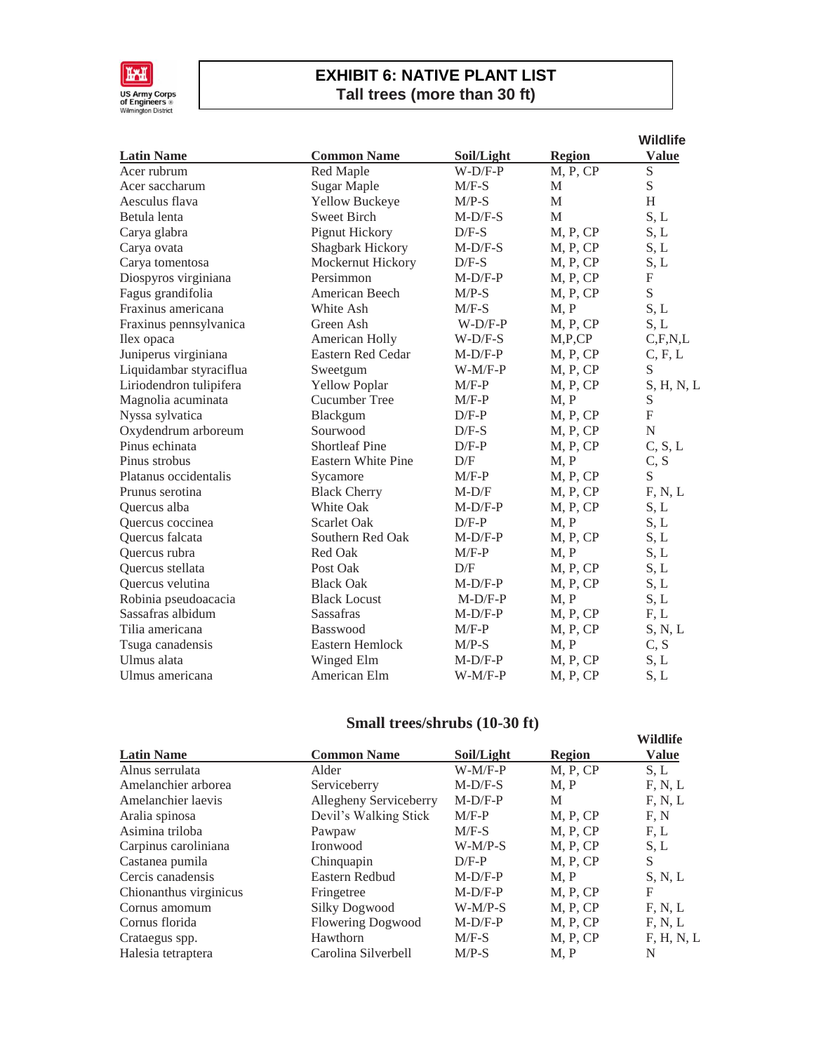

## **EXHIBIT 6: NATIVE PLANT LIST Tall trees (more than 30 ft)**

|                         |                           |            |               | <b>Wildlife</b>  |
|-------------------------|---------------------------|------------|---------------|------------------|
| <b>Latin Name</b>       | <b>Common Name</b>        | Soil/Light | <b>Region</b> | Value            |
| Acer rubrum             | Red Maple                 | $W-D/F-P$  | M, P, CP      | S                |
| Acer saccharum          | <b>Sugar Maple</b>        | $M/F-S$    | M             | S                |
| Aesculus flava          | Yellow Buckeye            | $M/P-S$    | M             | H                |
| Betula lenta            | <b>Sweet Birch</b>        | $M-D/F-S$  | M             | S, L             |
| Carya glabra            | Pignut Hickory            | $D/F-S$    | M, P, CP      | S, L             |
| Carya ovata             | Shagbark Hickory          | $M-D/F-S$  | M, P, CP      | S, L             |
| Carya tomentosa         | Mockernut Hickory         | $D/F-S$    | M, P, CP      | S, L             |
| Diospyros virginiana    | Persimmon                 | $M-D/F-P$  | M, P, CP      | $\boldsymbol{F}$ |
| Fagus grandifolia       | American Beech            | $M/P-S$    | M, P, CP      | S                |
| Fraxinus americana      | White Ash                 | $M/F-S$    | M, P          | S, L             |
| Fraxinus pennsylvanica  | Green Ash                 | $W-D/F-P$  | M, P, CP      | S, L             |
| Ilex opaca              | American Holly            | $W-D/F-S$  | M, P, CP      | C, F, N, L       |
| Juniperus virginiana    | Eastern Red Cedar         | $M-D/F-P$  | M, P, CP      | C, F, L          |
| Liquidambar styraciflua | Sweetgum                  | $W-M/F-P$  | M, P, CP      | S                |
| Liriodendron tulipifera | <b>Yellow Poplar</b>      | $M/F-P$    | M, P, CP      | S, H, N, L       |
| Magnolia acuminata      | Cucumber Tree             | $M/F-P$    | M, P          | ${\mathbf S}$    |
| Nyssa sylvatica         | Blackgum                  | $D/F-P$    | M, P, CP      | $\overline{F}$   |
| Oxydendrum arboreum     | Sourwood                  | $D/F-S$    | M, P, CP      | ${\bf N}$        |
| Pinus echinata          | <b>Shortleaf Pine</b>     | $D/F-P$    | M, P, CP      | C, S, L          |
| Pinus strobus           | <b>Eastern White Pine</b> | D/F        | M, P          | C, S             |
| Platanus occidentalis   | Sycamore                  | $M/F-P$    | M, P, CP      | S                |
| Prunus serotina         | <b>Black Cherry</b>       | $M-D/F$    | M, P, CP      | F, N, L          |
| Quercus alba            | <b>White Oak</b>          | $M-D/F-P$  | M, P, CP      | S, L             |
| Quercus coccinea        | <b>Scarlet Oak</b>        | $D/F-P$    | M, P          | S, L             |
| Quercus falcata         | Southern Red Oak          | $M-D/F-P$  | M, P, CP      | S, L             |
| Quercus rubra           | Red Oak                   | $M/F-P$    | M, P          | S, L             |
| Quercus stellata        | Post Oak                  | D/F        | M, P, CP      | S, L             |
| Quercus velutina        | <b>Black Oak</b>          | $M-D/F-P$  | M, P, CP      | S, L             |
| Robinia pseudoacacia    | <b>Black Locust</b>       | $M-D/F-P$  | M, P          | S, L             |
| Sassafras albidum       | <b>Sassafras</b>          | $M-D/F-P$  | M, P, CP      | F, L             |
| Tilia americana         | <b>Basswood</b>           | $M/F-P$    | M, P, CP      | S, N, L          |
| Tsuga canadensis        | Eastern Hemlock           | $M/P-S$    | M, P          | C, S             |
| Ulmus alata             | Winged Elm                | $M-D/F-P$  | M, P, CP      | S, L             |
| Ulmus americana         | American Elm              | $W-M/F-P$  | M, P, CP      | S, L             |

## **Small trees/shrubs (10-30 ft)**

|                        |                          |            |               | Wildlife     |
|------------------------|--------------------------|------------|---------------|--------------|
| <b>Latin Name</b>      | <b>Common Name</b>       | Soil/Light | <b>Region</b> | <b>Value</b> |
| Alnus serrulata        | Alder                    | $W-M/F-P$  | M, P, CP      | S.L          |
| Amelanchier arborea    | Serviceberry             | $M-D/F-S$  | M, P          | F, N, L      |
| Amelanchier laevis     | Allegheny Serviceberry   | $M-D/F-P$  | M             | F, N, L      |
| Aralia spinosa         | Devil's Walking Stick    | $M/F-P$    | M, P, CP      | F, N         |
| Asimina triloba        | Pawpaw                   | $M/F-S$    | M, P, CP      | F, L         |
| Carpinus caroliniana   | Ironwood                 | $W-M/P-S$  | M, P, CP      | S, L         |
| Castanea pumila        | Chinquapin               | $D/F-P$    | M, P, CP      | S            |
| Cercis canadensis      | Eastern Redbud           | $M-D/F-P$  | M, P          | S, N, L      |
| Chionanthus virginicus | Fringetree               | $M-D/F-P$  | M, P, CP      | F            |
| Cornus amomum          | Silky Dogwood            | $W-M/P-S$  | M, P, CP      | F, N, L      |
| Cornus florida         | <b>Flowering Dogwood</b> | $M-D/F-P$  | M, P, CP      | F, N, L      |
| Crataegus spp.         | Hawthorn                 | $M/F-S$    | M, P, CP      | F, H, N, L   |
| Halesia tetraptera     | Carolina Silverbell      | $M/P-S$    | M, P          | N            |
|                        |                          |            |               |              |